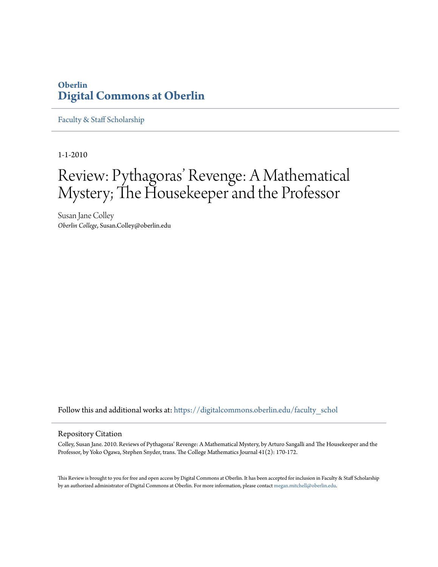## **Oberlin [Digital Commons at Oberlin](https://digitalcommons.oberlin.edu?utm_source=digitalcommons.oberlin.edu%2Ffaculty_schol%2F1539&utm_medium=PDF&utm_campaign=PDFCoverPages)**

[Faculty & Staff Scholarship](https://digitalcommons.oberlin.edu/faculty_schol?utm_source=digitalcommons.oberlin.edu%2Ffaculty_schol%2F1539&utm_medium=PDF&utm_campaign=PDFCoverPages)

1-1-2010

## Review: Pythagoras' Revenge: A Mathematical Mystery; The Housekeeper and the Professor

Susan Jane Colley *Oberlin College*, Susan.Colley@oberlin.edu

Follow this and additional works at: [https://digitalcommons.oberlin.edu/faculty\\_schol](https://digitalcommons.oberlin.edu/faculty_schol?utm_source=digitalcommons.oberlin.edu%2Ffaculty_schol%2F1539&utm_medium=PDF&utm_campaign=PDFCoverPages)

## Repository Citation

Colley, Susan Jane. 2010. Reviews of Pythagoras' Revenge: A Mathematical Mystery, by Arturo Sangalli and The Housekeeper and the Professor, by Yoko Ogawa, Stephen Snyder, trans. The College Mathematics Journal 41(2): 170-172.

This Review is brought to you for free and open access by Digital Commons at Oberlin. It has been accepted for inclusion in Faculty & Staff Scholarship by an authorized administrator of Digital Commons at Oberlin. For more information, please contact [megan.mitchell@oberlin.edu.](mailto:megan.mitchell@oberlin.edu)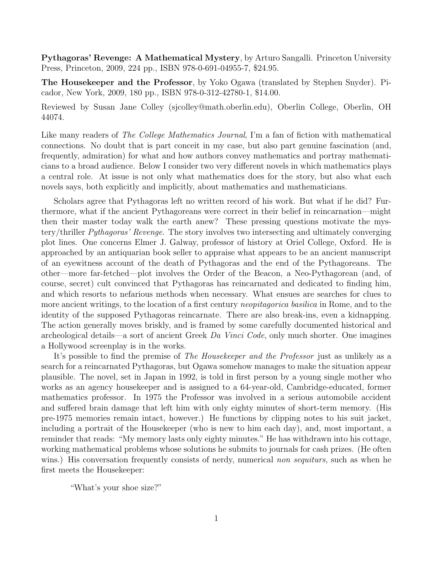Pythagoras' Revenge: A Mathematical Mystery, by Arturo Sangalli. Princeton University Press, Princeton, 2009, 224 pp., ISBN 978-0-691-04955-7, \$24.95.

The Housekeeper and the Professor, by Yoko Ogawa (translated by Stephen Snyder). Picador, New York, 2009, 180 pp., ISBN 978-0-312-42780-1, \$14.00.

Reviewed by Susan Jane Colley (sjcolley@math.oberlin.edu), Oberlin College, Oberlin, OH 44074.

Like many readers of *The College Mathematics Journal*, I'm a fan of fiction with mathematical connections. No doubt that is part conceit in my case, but also part genuine fascination (and, frequently, admiration) for what and how authors convey mathematics and portray mathematicians to a broad audience. Below I consider two very different novels in which mathematics plays a central role. At issue is not only what mathematics does for the story, but also what each novels says, both explicitly and implicitly, about mathematics and mathematicians.

Scholars agree that Pythagoras left no written record of his work. But what if he did? Furthermore, what if the ancient Pythagoreans were correct in their belief in reincarnation—might then their master today walk the earth anew? These pressing questions motivate the mystery/thriller Pythagoras' Revenge. The story involves two intersecting and ultimately converging plot lines. One concerns Elmer J. Galway, professor of history at Oriel College, Oxford. He is approached by an antiquarian book seller to appraise what appears to be an ancient manuscript of an eyewitness account of the death of Pythagoras and the end of the Pythagoreans. The other—more far-fetched—plot involves the Order of the Beacon, a Neo-Pythagorean (and, of course, secret) cult convinced that Pythagoras has reincarnated and dedicated to finding him, and which resorts to nefarious methods when necessary. What ensues are searches for clues to more ancient writings, to the location of a first century *neopitagorica basilica* in Rome, and to the identity of the supposed Pythagoras reincarnate. There are also break-ins, even a kidnapping. The action generally moves briskly, and is framed by some carefully documented historical and archeological details—a sort of ancient Greek Da Vinci Code, only much shorter. One imagines a Hollywood screenplay is in the works.

It's possible to find the premise of *The Housekeeper and the Professor* just as unlikely as a search for a reincarnated Pythagoras, but Ogawa somehow manages to make the situation appear plausible. The novel, set in Japan in 1992, is told in first person by a young single mother who works as an agency housekeeper and is assigned to a 64-year-old, Cambridge-educated, former mathematics professor. In 1975 the Professor was involved in a serious automobile accident and suffered brain damage that left him with only eighty minutes of short-term memory. (His pre-1975 memories remain intact, however.) He functions by clipping notes to his suit jacket, including a portrait of the Housekeeper (who is new to him each day), and, most important, a reminder that reads: "My memory lasts only eighty minutes." He has withdrawn into his cottage, working mathematical problems whose solutions he submits to journals for cash prizes. (He often wins.) His conversation frequently consists of nerdy, numerical non sequiturs, such as when he first meets the Housekeeper:

"What's your shoe size?"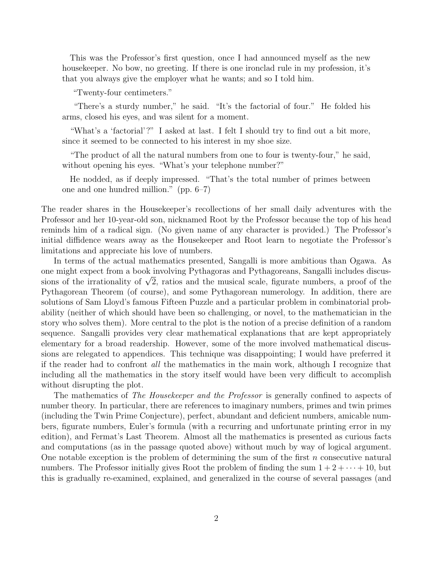This was the Professor's first question, once I had announced myself as the new housekeeper. No bow, no greeting. If there is one ironclad rule in my profession, it's that you always give the employer what he wants; and so I told him.

"Twenty-four centimeters."

"There's a sturdy number," he said. "It's the factorial of four." He folded his arms, closed his eyes, and was silent for a moment.

"What's a 'factorial'?" I asked at last. I felt I should try to find out a bit more, since it seemed to be connected to his interest in my shoe size.

"The product of all the natural numbers from one to four is twenty-four," he said, without opening his eyes. "What's your telephone number?"

He nodded, as if deeply impressed. "That's the total number of primes between one and one hundred million." (pp. 6–7)

The reader shares in the Housekeeper's recollections of her small daily adventures with the Professor and her 10-year-old son, nicknamed Root by the Professor because the top of his head reminds him of a radical sign. (No given name of any character is provided.) The Professor's initial diffidence wears away as the Housekeeper and Root learn to negotiate the Professor's limitations and appreciate his love of numbers.

In terms of the actual mathematics presented, Sangalli is more ambitious than Ogawa. As one might expect from a book involving Pythagoras and Pythagoreans, Sangalli includes discusone might expect from a book involving Pythagoras and Pythagoreans, Sangalli includes discussions of the irrationality of  $\sqrt{2}$ , ratios and the musical scale, figurate numbers, a proof of the Pythagorean Theorem (of course), and some Pythagorean numerology. In addition, there are solutions of Sam Lloyd's famous Fifteen Puzzle and a particular problem in combinatorial probability (neither of which should have been so challenging, or novel, to the mathematician in the story who solves them). More central to the plot is the notion of a precise definition of a random sequence. Sangalli provides very clear mathematical explanations that are kept appropriately elementary for a broad readership. However, some of the more involved mathematical discussions are relegated to appendices. This technique was disappointing; I would have preferred it if the reader had to confront all the mathematics in the main work, although I recognize that including all the mathematics in the story itself would have been very difficult to accomplish without disrupting the plot.

The mathematics of *The Housekeeper and the Professor* is generally confined to aspects of number theory. In particular, there are references to imaginary numbers, primes and twin primes (including the Twin Prime Conjecture), perfect, abundant and deficient numbers, amicable numbers, figurate numbers, Euler's formula (with a recurring and unfortunate printing error in my edition), and Fermat's Last Theorem. Almost all the mathematics is presented as curious facts and computations (as in the passage quoted above) without much by way of logical argument. One notable exception is the problem of determining the sum of the first  $n$  consecutive natural numbers. The Professor initially gives Root the problem of finding the sum  $1 + 2 + \cdots + 10$ , but this is gradually re-examined, explained, and generalized in the course of several passages (and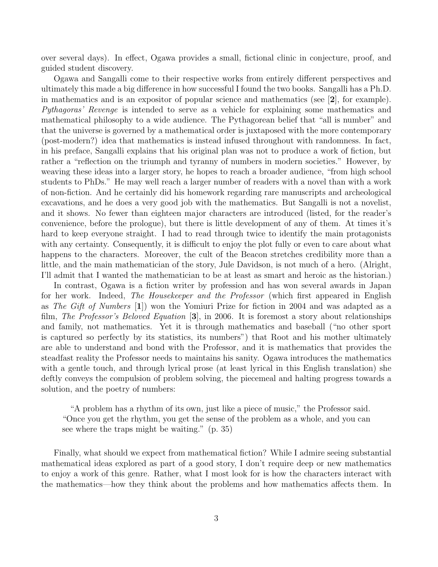over several days). In effect, Ogawa provides a small, fictional clinic in conjecture, proof, and guided student discovery.

Ogawa and Sangalli come to their respective works from entirely different perspectives and ultimately this made a big difference in how successful I found the two books. Sangalli has a Ph.D. in mathematics and is an expositor of popular science and mathematics (see  $|2|$ , for example). Pythagoras' Revenge is intended to serve as a vehicle for explaining some mathematics and mathematical philosophy to a wide audience. The Pythagorean belief that "all is number" and that the universe is governed by a mathematical order is juxtaposed with the more contemporary (post-modern?) idea that mathematics is instead infused throughout with randomness. In fact, in his preface, Sangalli explains that his original plan was not to produce a work of fiction, but rather a "reflection on the triumph and tyranny of numbers in modern societies." However, by weaving these ideas into a larger story, he hopes to reach a broader audience, "from high school students to PhDs." He may well reach a larger number of readers with a novel than with a work of non-fiction. And he certainly did his homework regarding rare manuscripts and archeological excavations, and he does a very good job with the mathematics. But Sangalli is not a novelist, and it shows. No fewer than eighteen major characters are introduced (listed, for the reader's convenience, before the prologue), but there is little development of any of them. At times it's hard to keep everyone straight. I had to read through twice to identify the main protagonists with any certainty. Consequently, it is difficult to enjoy the plot fully or even to care about what happens to the characters. Moreover, the cult of the Beacon stretches credibility more than a little, and the main mathematician of the story, Jule Davidson, is not much of a hero. (Alright, I'll admit that I wanted the mathematician to be at least as smart and heroic as the historian.)

In contrast, Ogawa is a fiction writer by profession and has won several awards in Japan for her work. Indeed, The Housekeeper and the Professor (which first appeared in English as The Gift of Numbers [1]) won the Yomiuri Prize for fiction in 2004 and was adapted as a film, The Professor's Beloved Equation  $\mathbf{3}$ , in 2006. It is foremost a story about relationships and family, not mathematics. Yet it is through mathematics and baseball ("no other sport is captured so perfectly by its statistics, its numbers") that Root and his mother ultimately are able to understand and bond with the Professor, and it is mathematics that provides the steadfast reality the Professor needs to maintains his sanity. Ogawa introduces the mathematics with a gentle touch, and through lyrical prose (at least lyrical in this English translation) she deftly conveys the compulsion of problem solving, the piecemeal and halting progress towards a solution, and the poetry of numbers:

"A problem has a rhythm of its own, just like a piece of music," the Professor said. "Once you get the rhythm, you get the sense of the problem as a whole, and you can see where the traps might be waiting." (p. 35)

Finally, what should we expect from mathematical fiction? While I admire seeing substantial mathematical ideas explored as part of a good story, I don't require deep or new mathematics to enjoy a work of this genre. Rather, what I most look for is how the characters interact with the mathematics—how they think about the problems and how mathematics affects them. In